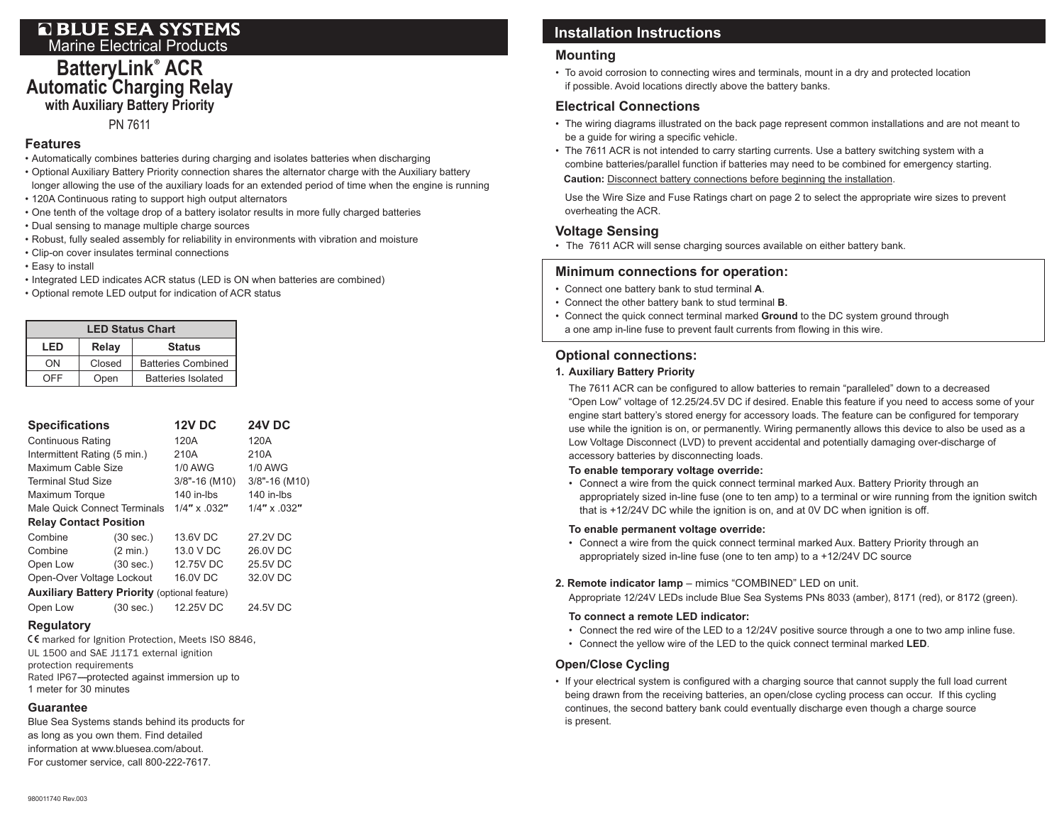# **EXECTED BLUE SEA SYSTEMS**<br>Marine Electrical Products<br>**Installation Instructions**

## **BatteryLink**® **ACR Automatic Charging Relay with Auxiliary Battery Priority**

#### PN 7611

#### **Features**

- Automatically combines batteries during charging and isolates batteries when discharging
- Optional Auxiliary Battery Priority connection shares the alternator charge with the Auxiliary battery longer allowing the use of the auxiliary loads for an extended period of time when the engine is running
- 120A Continuous rating to support high output alternators
- • One tenth of the voltage drop of a battery isolator results in more fully charged batteries
- Dual sensing to manage multiple charge sources
- Robust, fully sealed assembly for reliability in environments with vibration and moisture
- Clip-on cover insulates terminal connections
- Easy to install
- Integrated LED indicates ACR status (LED is ON when batteries are combined)
- • Optional remote LED output for indication of ACR status

| <b>LED Status Chart</b> |        |                           |  |  |  |
|-------------------------|--------|---------------------------|--|--|--|
| Relay<br>LED            |        | <b>Status</b>             |  |  |  |
| ΩN                      | Closed | <b>Batteries Combined</b> |  |  |  |
| OEE                     | Open   | <b>Batteries Isolated</b> |  |  |  |

| <b>Specifications</b>                                |                    | <b>12V DC</b>    | <b>24V DC</b>   |  |  |  |  |
|------------------------------------------------------|--------------------|------------------|-----------------|--|--|--|--|
| <b>Continuous Rating</b>                             |                    | 120A             | 120A            |  |  |  |  |
| Intermittent Rating (5 min.)                         |                    | 210A             | 210A            |  |  |  |  |
| Maximum Cable Size                                   |                    | 1/0 AWG          | <b>1/0 AWG</b>  |  |  |  |  |
| <b>Terminal Stud Size</b>                            |                    | $3/8$ "-16 (M10) | 3/8"-16 (M10)   |  |  |  |  |
| Maximum Torque                                       |                    | 140 in-lbs       | 140 in-lbs      |  |  |  |  |
| Male Quick Connect Terminals                         |                    | $1/4$ " x 032"   | $1/4$ " x .032" |  |  |  |  |
| <b>Relay Contact Position</b>                        |                    |                  |                 |  |  |  |  |
| Combine                                              | (30 sec.)          | 13.6V DC         | 27.2V DC        |  |  |  |  |
| Combine                                              | $(2 \text{ min.})$ | 13.0 V DC        | 26.0V DC        |  |  |  |  |
| Open Low                                             | (30 sec.)          | 12.75V DC        | 25.5V DC        |  |  |  |  |
| Open-Over Voltage Lockout                            |                    | 16.0V DC         | 32.0V DC        |  |  |  |  |
| <b>Auxiliary Battery Priority (optional feature)</b> |                    |                  |                 |  |  |  |  |
| Open Low                                             | (30 sec.)          | 12.25V DC        | 24.5V DC        |  |  |  |  |

#### **Regulatory**

CE marked for Ignition Protection, Meets ISO 8846, UL 1500 and SAE J1171 external ignition protection requirements Rated IP67---protected against immersion up to 1 meter for 30 minutes

#### **Guarantee**

Blue Sea Systems stands behind its products for as long as you own them. Find detailed information at www.bluesea.com/about. For customer service, call 800-222-7617.

#### **Mounting**

• To avoid corrosion to connecting wires and terminals, mount in a dry and protected location if possible. Avoid locations directly above the battery banks.

#### **Electrical Connections**

- The wiring diagrams illustrated on the back page represent common installations and are not meant to be a guide for wiring a specific vehicle.
- The 7611 ACR is not intended to carry starting currents. Use a battery switching system with a combine batteries/parallel function if batteries may need to be combined for emergency starting. **Caution:** Disconnect battery connections before beginning the installation.

Use the Wire Size and Fuse Ratings chart on page 2 to select the appropriate wire sizes to prevent overheating the ACR.

#### **Voltage Sensing**

• The 7611 ACR will sense charging sources available on either battery bank.

#### **Minimum connections for operation:**

- Connect one battery bank to stud terminal **A**.
- Connect the other battery bank to stud terminal **B**.
- Connect the quick connect terminal marked **Ground** to the DC system ground through a one amp in-line fuse to prevent fault currents from flowing in this wire.

#### **Optional connections:**

#### **1. Auxiliary Battery Priority**

 The 7611 ACR can be configured to allow batteries to remain "paralleled" down to a decreased "Open Low" voltage of 12.25/24.5V DC if desired. Enable this feature if you need to access some of your engine start battery's stored energy for accessory loads. The feature can be configured for temporary use while the ignition is on, or permanently. Wiring permanently allows this device to also be used as a Low Voltage Disconnect (LVD) to prevent accidental and potentially damaging over-discharge of accessory batteries by disconnecting loads.

#### **To enable temporary voltage override:**

• Connect a wire from the quick connect terminal marked Aux. Battery Priority through an appropriately sized in-line fuse (one to ten amp) to a terminal or wire running from the ignition switch that is +12/24V DC while the ignition is on, and at 0V DC when ignition is off.

#### **To enable permanent voltage override:**

- Connect a wire from the quick connect terminal marked Aux. Battery Priority through an appropriately sized in-line fuse (one to ten amp) to a +12/24V DC source
- **2. Remote indicator lamp**  mimics "COMBINED" LED on unit.

 Appropriate 12/24V LEDs include Blue Sea Systems PNs 8033 (amber), 8171 (red), or 8172 (green).

#### **To connect a remote LED indicator:**

- Connect the red wire of the LED to a 12/24V positive source through a one to two amp inline fuse.
- Connect the yellow wire of the LED to the quick connect terminal marked **LED**.

#### **Open/Close Cycling**

• If your electrical system is configured with a charging source that cannot supply the full load current being drawn from the receiving batteries, an open/close cycling process can occur. If this cycling continues, the second battery bank could eventually discharge even though a charge source is present.